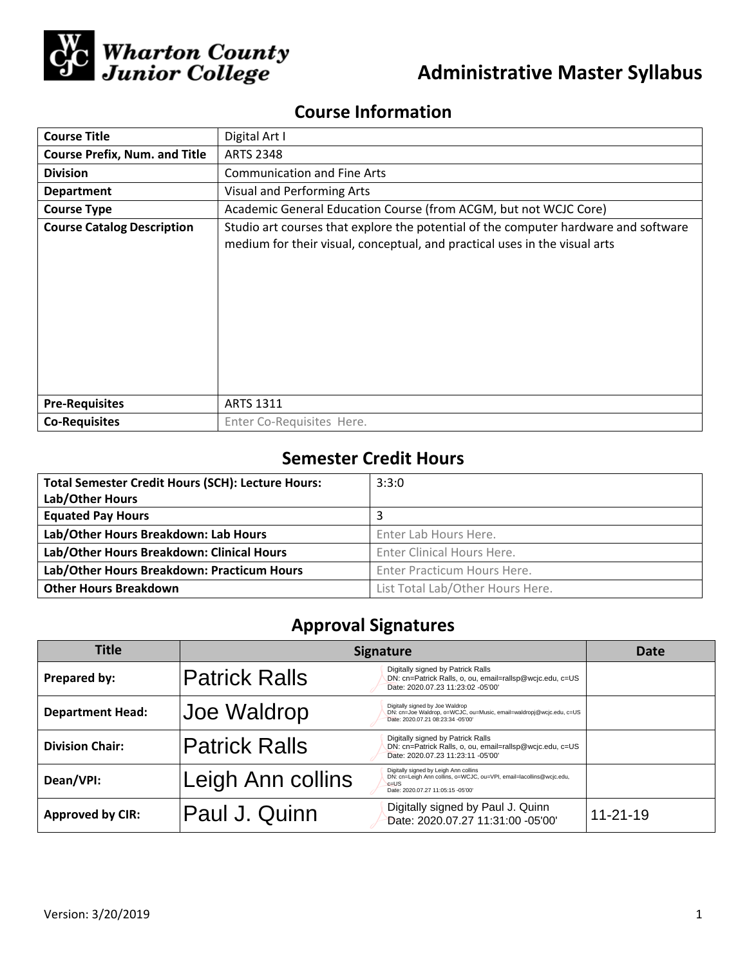

# **Administrative Master Syllabus**

# **Course Information**

| <b>Course Title</b>                  | Digital Art I                                                                                                                                                     |  |  |  |
|--------------------------------------|-------------------------------------------------------------------------------------------------------------------------------------------------------------------|--|--|--|
| <b>Course Prefix, Num. and Title</b> | <b>ARTS 2348</b>                                                                                                                                                  |  |  |  |
| <b>Division</b>                      | <b>Communication and Fine Arts</b>                                                                                                                                |  |  |  |
| <b>Department</b>                    | Visual and Performing Arts                                                                                                                                        |  |  |  |
| <b>Course Type</b>                   | Academic General Education Course (from ACGM, but not WCJC Core)                                                                                                  |  |  |  |
| <b>Course Catalog Description</b>    | Studio art courses that explore the potential of the computer hardware and software<br>medium for their visual, conceptual, and practical uses in the visual arts |  |  |  |
| <b>Pre-Requisites</b>                | <b>ARTS 1311</b>                                                                                                                                                  |  |  |  |
| <b>Co-Requisites</b>                 | Enter Co-Requisites Here.                                                                                                                                         |  |  |  |

## **Semester Credit Hours**

| <b>Total Semester Credit Hours (SCH): Lecture Hours:</b> | 3:3:0                            |
|----------------------------------------------------------|----------------------------------|
| Lab/Other Hours                                          |                                  |
| <b>Equated Pay Hours</b>                                 |                                  |
| Lab/Other Hours Breakdown: Lab Hours                     | Enter Lab Hours Here.            |
| Lab/Other Hours Breakdown: Clinical Hours                | Enter Clinical Hours Here.       |
| Lab/Other Hours Breakdown: Practicum Hours               | Enter Practicum Hours Here.      |
| <b>Other Hours Breakdown</b>                             | List Total Lab/Other Hours Here. |

## **Approval Signatures**

| <b>Title</b>            | <b>Signature</b>     |                                                                                                                                                               | Date           |
|-------------------------|----------------------|---------------------------------------------------------------------------------------------------------------------------------------------------------------|----------------|
| Prepared by:            | <b>Patrick Ralls</b> | Digitally signed by Patrick Ralls<br>DN: cn=Patrick Ralls, o, ou, email=rallsp@wcjc.edu, c=US<br>Date: 2020.07.23 11:23:02 -05'00'                            |                |
| <b>Department Head:</b> | Joe Waldrop          | Digitally signed by Joe Waldrop<br>DN: cn=Joe Waldrop, o=WCJC, ou=Music, email=waldropj@wcjc.edu, c=US<br>Date: 2020.07.21 08:23:34 -05'00'                   |                |
| <b>Division Chair:</b>  | <b>Patrick Ralls</b> | Digitally signed by Patrick Ralls<br>DN: cn=Patrick Ralls, o, ou, email=rallsp@wcjc.edu, c=US<br>Date: 2020.07.23 11:23:11 -05'00'                            |                |
| Dean/VPI:               | Leigh Ann collins    | Digitally signed by Leigh Ann collins<br>DN: cn=Leigh Ann collins, o=WCJC, ou=VPI, email=lacollins@wcjc.edu,<br>$c = US$<br>Date: 2020.07.27 11:05:15 -05'00' |                |
| <b>Approved by CIR:</b> | Paul J. Quinn        | Digitally signed by Paul J. Quinn<br>Date: 2020.07.27 11:31:00 -05'00'                                                                                        | $11 - 21 - 19$ |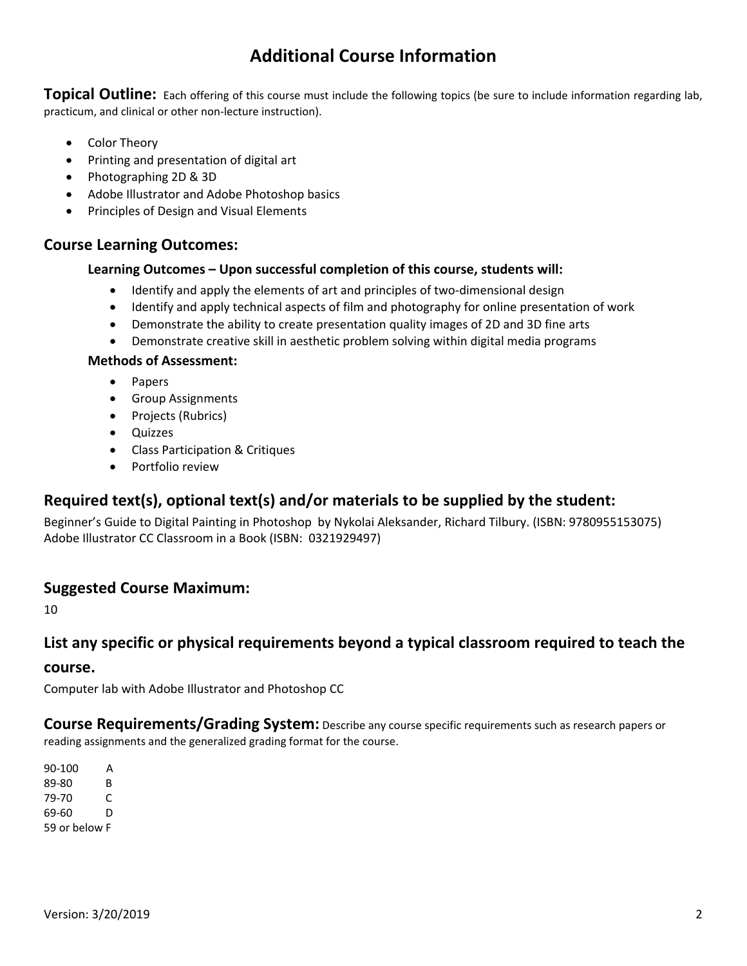## **Additional Course Information**

**Topical Outline:** Each offering of this course must include the following topics (be sure to include information regarding lab, practicum, and clinical or other non‐lecture instruction).

- Color Theory
- Printing and presentation of digital art
- Photographing 2D & 3D
- Adobe Illustrator and Adobe Photoshop basics
- Principles of Design and Visual Elements

#### **Course Learning Outcomes:**

#### **Learning Outcomes – Upon successful completion of this course, students will:**

- Identify and apply the elements of art and principles of two-dimensional design
- Identify and apply technical aspects of film and photography for online presentation of work
- Demonstrate the ability to create presentation quality images of 2D and 3D fine arts
- Demonstrate creative skill in aesthetic problem solving within digital media programs

#### **Methods of Assessment:**

- Papers
- **•** Group Assignments
- Projects (Rubrics)
- Quizzes
- Class Participation & Critiques
- Portfolio review

### **Required text(s), optional text(s) and/or materials to be supplied by the student:**

Beginner's Guide to Digital Painting in Photoshop by Nykolai Aleksander, Richard Tilbury. (ISBN: 9780955153075) Adobe Illustrator CC Classroom in a Book (ISBN: 0321929497)

### **Suggested Course Maximum:**

10

### **List any specific or physical requirements beyond a typical classroom required to teach the**

#### **course.**

Computer lab with Adobe Illustrator and Photoshop CC

**Course Requirements/Grading System:** Describe any course specific requirements such as research papers or reading assignments and the generalized grading format for the course.

 $90 - 100$  A 89-80 B 79-70 C 69‐60 D 59 or below F